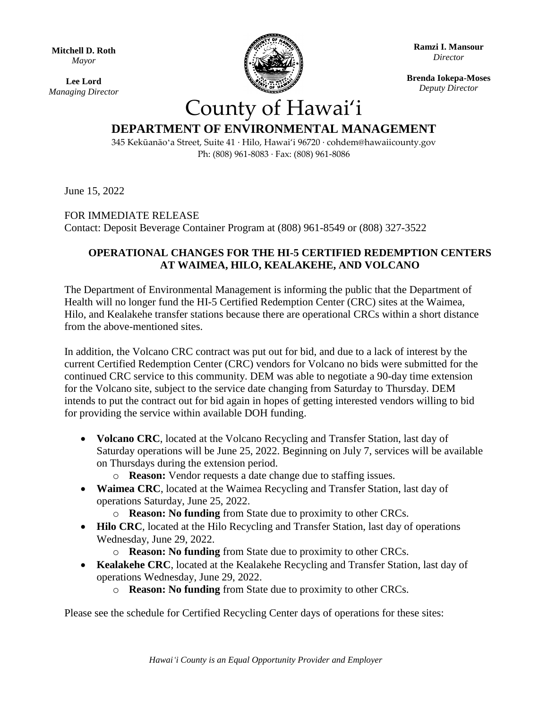**Mitchell D. Roth** *Mayor*

**Lee Lord** *Managing Director*



**Ramzi I. Mansour** *Director*

**Brenda Iokepa-Moses** *Deputy Director*

## County of Hawai'i **DEPARTMENT OF ENVIRONMENTAL MANAGEMENT**

345 Kekūanāoʻa Street, Suite 41 · Hilo, Hawai'i 96720 · cohdem@hawaiicounty.gov Ph: (808) 961-8083 · Fax: (808) 961-8086

June 15, 2022

## FOR IMMEDIATE RELEASE

Contact: Deposit Beverage Container Program at (808) 961-8549 or (808) 327-3522

## **OPERATIONAL CHANGES FOR THE HI-5 CERTIFIED REDEMPTION CENTERS AT WAIMEA, HILO, KEALAKEHE, AND VOLCANO**

The Department of Environmental Management is informing the public that the Department of Health will no longer fund the HI-5 Certified Redemption Center (CRC) sites at the Waimea, Hilo, and Kealakehe transfer stations because there are operational CRCs within a short distance from the above-mentioned sites.

In addition, the Volcano CRC contract was put out for bid, and due to a lack of interest by the current Certified Redemption Center (CRC) vendors for Volcano no bids were submitted for the continued CRC service to this community. DEM was able to negotiate a 90-day time extension for the Volcano site, subject to the service date changing from Saturday to Thursday. DEM intends to put the contract out for bid again in hopes of getting interested vendors willing to bid for providing the service within available DOH funding.

- **Volcano CRC**, located at the Volcano Recycling and Transfer Station, last day of Saturday operations will be June 25, 2022. Beginning on July 7, services will be available on Thursdays during the extension period.
	- o **Reason:** Vendor requests a date change due to staffing issues.
- **Waimea CRC**, located at the Waimea Recycling and Transfer Station, last day of operations Saturday, June 25, 2022.
	- o **Reason: No funding** from State due to proximity to other CRCs.
- **Hilo CRC**, located at the Hilo Recycling and Transfer Station, last day of operations Wednesday, June 29, 2022.
	- o **Reason: No funding** from State due to proximity to other CRCs.
- **Kealakehe CRC**, located at the Kealakehe Recycling and Transfer Station, last day of operations Wednesday, June 29, 2022.
	- o **Reason: No funding** from State due to proximity to other CRCs.

Please see the schedule for Certified Recycling Center days of operations for these sites: